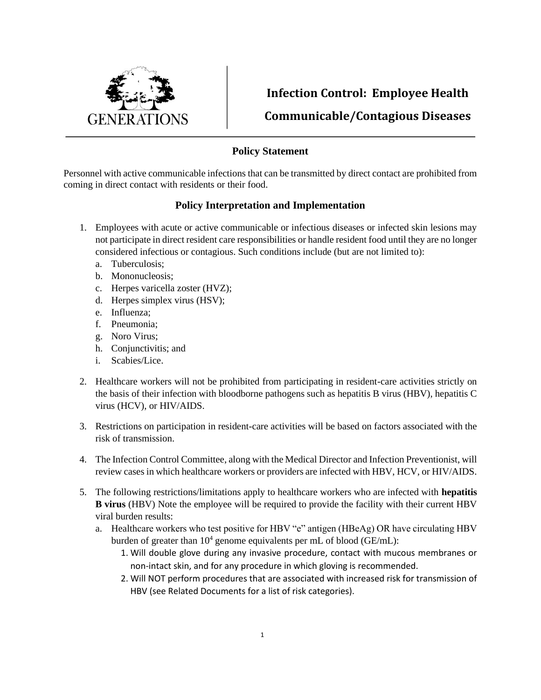

**Infection Control: Employee Health Communicable/Contagious Diseases**

## **Policy Statement**

Personnel with active communicable infections that can be transmitted by direct contact are prohibited from coming in direct contact with residents or their food.

## **Policy Interpretation and Implementation**

- 1. Employees with acute or active communicable or infectious diseases or infected skin lesions may not participate in direct resident care responsibilities or handle resident food until they are no longer considered infectious or contagious. Such conditions include (but are not limited to):
	- a. Tuberculosis;
	- b. Mononucleosis;
	- c. Herpes varicella zoster (HVZ);
	- d. Herpes simplex virus (HSV);
	- e. Influenza;
	- f. Pneumonia;
	- g. Noro Virus;
	- h. Conjunctivitis; and
	- i. Scabies/Lice.
- 2. Healthcare workers will not be prohibited from participating in resident-care activities strictly on the basis of their infection with bloodborne pathogens such as hepatitis B virus (HBV), hepatitis C virus (HCV), or HIV/AIDS.
- 3. Restrictions on participation in resident-care activities will be based on factors associated with the risk of transmission.
- 4. The Infection Control Committee, along with the Medical Director and Infection Preventionist, will review cases in which healthcare workers or providers are infected with HBV, HCV, or HIV/AIDS.
- 5. The following restrictions/limitations apply to healthcare workers who are infected with **hepatitis B virus** (HBV) Note the employee will be required to provide the facility with their current HBV viral burden results:
	- a. Healthcare workers who test positive for HBV "e" antigen (HBeAg) OR have circulating HBV burden of greater than  $10^4$  genome equivalents per mL of blood (GE/mL):
		- 1. Will double glove during any invasive procedure, contact with mucous membranes or non-intact skin, and for any procedure in which gloving is recommended.
		- 2. Will NOT perform procedures that are associated with increased risk for transmission of HBV (see Related Documents for a list of risk categories).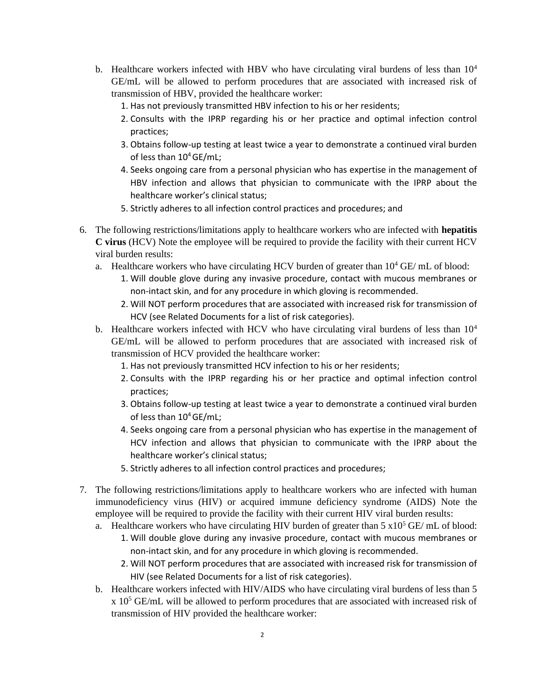- b. Healthcare workers infected with HBV who have circulating viral burdens of less than  $10<sup>4</sup>$ GE/mL will be allowed to perform procedures that are associated with increased risk of transmission of HBV, provided the healthcare worker:
	- 1. Has not previously transmitted HBV infection to his or her residents;
	- 2. Consults with the IPRP regarding his or her practice and optimal infection control practices;
	- 3. Obtains follow-up testing at least twice a year to demonstrate a continued viral burden of less than  $10^4$  GE/mL;
	- 4. Seeks ongoing care from a personal physician who has expertise in the management of HBV infection and allows that physician to communicate with the IPRP about the healthcare worker's clinical status;
	- 5. Strictly adheres to all infection control practices and procedures; and
- 6. The following restrictions/limitations apply to healthcare workers who are infected with **hepatitis C virus** (HCV) Note the employee will be required to provide the facility with their current HCV viral burden results:
	- a. Healthcare workers who have circulating HCV burden of greater than  $10^4$  GE/ mL of blood:
		- 1. Will double glove during any invasive procedure, contact with mucous membranes or non-intact skin, and for any procedure in which gloving is recommended.
		- 2. Will NOT perform procedures that are associated with increased risk for transmission of HCV (see Related Documents for a list of risk categories).
	- b. Healthcare workers infected with HCV who have circulating viral burdens of less than  $10<sup>4</sup>$ GE/mL will be allowed to perform procedures that are associated with increased risk of transmission of HCV provided the healthcare worker:
		- 1. Has not previously transmitted HCV infection to his or her residents;
		- 2. Consults with the IPRP regarding his or her practice and optimal infection control practices;
		- 3. Obtains follow-up testing at least twice a year to demonstrate a continued viral burden of less than  $10^4$  GE/mL;
		- 4. Seeks ongoing care from a personal physician who has expertise in the management of HCV infection and allows that physician to communicate with the IPRP about the healthcare worker's clinical status;
		- 5. Strictly adheres to all infection control practices and procedures;
- 7. The following restrictions/limitations apply to healthcare workers who are infected with human immunodeficiency virus (HIV) or acquired immune deficiency syndrome (AIDS) Note the employee will be required to provide the facility with their current HIV viral burden results:
	- a. Healthcare workers who have circulating HIV burden of greater than  $5 \times 10^5$  GE/ mL of blood: 1. Will double glove during any invasive procedure, contact with mucous membranes or non-intact skin, and for any procedure in which gloving is recommended.
		- 2. Will NOT perform procedures that are associated with increased risk for transmission of HIV (see Related Documents for a list of risk categories).
	- b. Healthcare workers infected with HIV/AIDS who have circulating viral burdens of less than 5  $x$  10<sup>5</sup> GE/mL will be allowed to perform procedures that are associated with increased risk of transmission of HIV provided the healthcare worker: